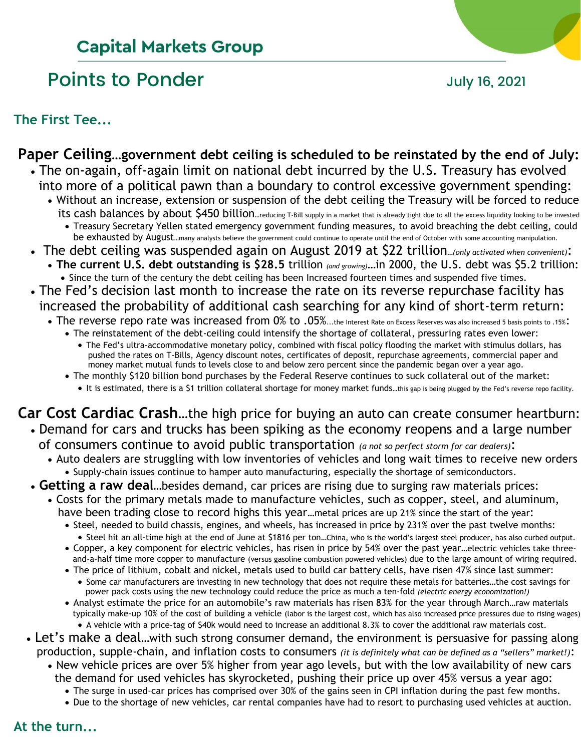# **Capital Markets Group**

# Points to Ponder and Tuly 16, 2021

### **The First Tee...**

### **Paper Ceiling…government debt ceiling is scheduled to be reinstated by the end of July:**

- The on-again, off-again limit on national debt incurred by the U.S. Treasury has evolved into more of a political pawn than a boundary to control excessive government spending:
	- Without an increase, extension or suspension of the debt ceiling the Treasury will be forced to reduce its cash balances by about \$450 billion...reducing T-Bill supply in a market that is already tight due to all the excess liquidity looking to be invested
		- Treasury Secretary Yellen stated emergency government funding measures, to avoid breaching the debt ceiling, could be exhausted by August...many analysts believe the government could continue to operate until the end of October with some accounting manipulation.
- The debt ceiling was suspended again on August 2019 at \$22 trillion**…***(only activated when convenient)*: • **The current U.S. debt outstanding is \$28.5** trillion *(and growing)*…in 2000, the U.S. debt was \$5.2 trillion:
- Since the turn of the century the debt ceiling has been Increased fourteen times and suspended five times. • The Fed's decision last month to increase the rate on its reverse repurchase facility has
- increased the probability of additional cash searching for any kind of short-term return:
	- The reverse repo rate was increased from 0% to .05%...the Interest Rate on Excess Reserves was also increased 5 basis points to .15%:
		- The reinstatement of the debt-ceiling could intensify the shortage of collateral, pressuring rates even lower:
			- The Fed's ultra-accommodative monetary policy, combined with fiscal policy flooding the market with stimulus dollars, has pushed the rates on T-Bills, Agency discount notes, certificates of deposit, repurchase agreements, commercial paper and money market mutual funds to levels close to and below zero percent since the pandemic began over a year ago.
		- The monthly \$120 billion bond purchases by the Federal Reserve continues to suck collateral out of the market: • It is estimated, there is a \$1 trillion collateral shortage for money market funds…this gap is being plugged by the Fed's reverse repo facility.

### **Car Cost Cardiac Crash**…the high price for buying an auto can create consumer heartburn: • Demand for cars and trucks has been spiking as the economy reopens and a large number

- of consumers continue to avoid public transportation *(a not so perfect storm for car dealers)*:
	- Auto dealers are struggling with low inventories of vehicles and long wait times to receive new orders • Supply-chain issues continue to hamper auto manufacturing, especially the shortage of semiconductors.
- **Getting a raw deal**…besides demand, car prices are rising due to surging raw materials prices:
	- Costs for the primary metals made to manufacture vehicles, such as copper, steel, and aluminum, have been trading close to record highs this year…metal prices are up 21% since the start of the year:
		- Steel, needed to build chassis, engines, and wheels, has increased in price by 231% over the past twelve months:
			- Steel hit an all-time high at the end of June at \$1816 per ton…China, who is the world's largest steel producer, has also curbed output.
		- Copper, a key component for electric vehicles, has risen in price by 54% over the past year…electric vehicles take three and-a-half time more copper to manufacture (versus gasoline combustion powered vehicles) due to the large amount of wiring required.
		- The price of lithium, cobalt and nickel, metals used to build car battery cells, have risen 47% since last summer:
			- Some car manufacturers are investing in new technology that does not require these metals for batteries…the cost savings for power pack costs using the new technology could reduce the price as much a ten-fold *(electric energy economization!)*
		- Analyst estimate the price for an automobile's raw materials has risen 83% for the year through March…raw materials typically make-up 10% of the cost of building a vehicle (labor is the largest cost, which has also increased price pressures due to rising wages) • A vehicle with a price-tag of \$40k would need to increase an additional 8.3% to cover the additional raw materials cost.
- Let's make a deal...with such strong consumer demand, the environment is persuasive for passing along production, supple-chain, and inflation costs to consumers *(it is definitely what can be defined as a "sellers" market!)*:
	- New vehicle prices are over 5% higher from year ago levels, but with the low availability of new cars the demand for used vehicles has skyrocketed, pushing their price up over 45% versus a year ago:
		- The surge in used-car prices has comprised over 30% of the gains seen in CPI inflation during the past few months.
		- Due to the shortage of new vehicles, car rental companies have had to resort to purchasing used vehicles at auction.

### **At the turn...**